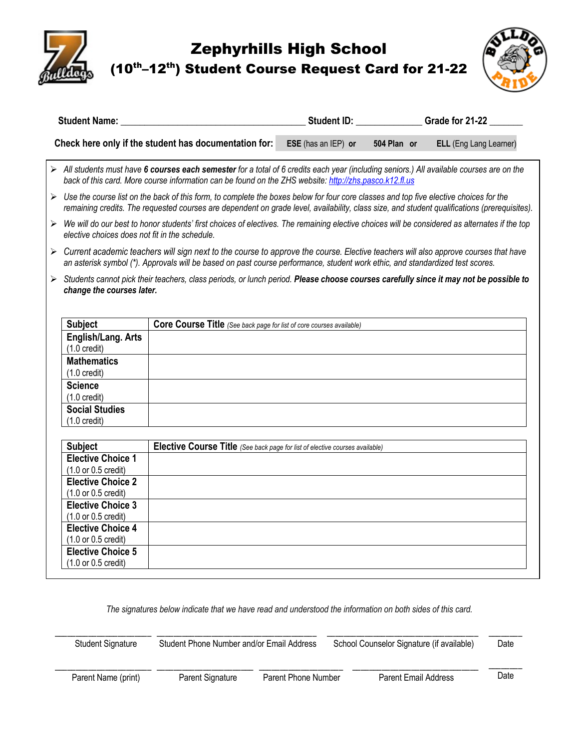Zephyrhills High School

(10<sup>th</sup>–12<sup>th</sup>) Student Course Request Card for 21-22



|  | <b>Student Name:</b>                                                                                                                                                                                                                                                   |                                                                                                                                                                                                                                                                                                        | Student ID: ________                                                                                                                   |             | Grade for 21-22        |  |
|--|------------------------------------------------------------------------------------------------------------------------------------------------------------------------------------------------------------------------------------------------------------------------|--------------------------------------------------------------------------------------------------------------------------------------------------------------------------------------------------------------------------------------------------------------------------------------------------------|----------------------------------------------------------------------------------------------------------------------------------------|-------------|------------------------|--|
|  |                                                                                                                                                                                                                                                                        | Check here only if the student has documentation for:                                                                                                                                                                                                                                                  | ESE (has an IEP) or                                                                                                                    | 504 Plan or | ELL (Eng Lang Learner) |  |
|  |                                                                                                                                                                                                                                                                        | > All students must have 6 courses each semester for a total of 6 credits each year (including seniors.) All available courses are on the<br>back of this card. More course information can be found on the ZHS website: http://zhs.pasco.k12.fl.us                                                    |                                                                                                                                        |             |                        |  |
|  |                                                                                                                                                                                                                                                                        | $\triangleright$ Use the course list on the back of this form, to complete the boxes below for four core classes and top five elective choices for the<br>remaining credits. The requested courses are dependent on grade level, availability, class size, and student qualifications (prerequisites). |                                                                                                                                        |             |                        |  |
|  | elective choices does not fit in the schedule.                                                                                                                                                                                                                         | $\triangleright$ We will do our best to honor students' first choices of electives. The remaining elective choices will be considered as alternates if the top                                                                                                                                         |                                                                                                                                        |             |                        |  |
|  | ► Current academic teachers will sign next to the course to approve the course. Elective teachers will also approve courses that have<br>an asterisk symbol (*). Approvals will be based on past course performance, student work ethic, and standardized test scores. |                                                                                                                                                                                                                                                                                                        |                                                                                                                                        |             |                        |  |
|  | change the courses later.                                                                                                                                                                                                                                              |                                                                                                                                                                                                                                                                                                        | > Students cannot pick their teachers, class periods, or lunch period. Please choose courses carefully since it may not be possible to |             |                        |  |
|  | <b>Subject</b>                                                                                                                                                                                                                                                         | Core Course Title (See back page for list of core courses available)                                                                                                                                                                                                                                   |                                                                                                                                        |             |                        |  |
|  | English/Lang. Arts<br>$(1.0 \text{ credit})$                                                                                                                                                                                                                           |                                                                                                                                                                                                                                                                                                        |                                                                                                                                        |             |                        |  |
|  | <b>Mathematics</b><br>$(1.0 \text{ credit})$                                                                                                                                                                                                                           |                                                                                                                                                                                                                                                                                                        |                                                                                                                                        |             |                        |  |
|  | <b>Science</b><br>$(1.0 \text{ credit})$                                                                                                                                                                                                                               |                                                                                                                                                                                                                                                                                                        |                                                                                                                                        |             |                        |  |
|  | <b>Social Studies</b><br>$(1.0 \text{ credit})$                                                                                                                                                                                                                        |                                                                                                                                                                                                                                                                                                        |                                                                                                                                        |             |                        |  |
|  | <b>Subject</b>                                                                                                                                                                                                                                                         | Elective Course Title (See back page for list of elective courses available)                                                                                                                                                                                                                           |                                                                                                                                        |             |                        |  |
|  | <b>Elective Choice 1</b><br>(1.0 or 0.5 credit)                                                                                                                                                                                                                        |                                                                                                                                                                                                                                                                                                        |                                                                                                                                        |             |                        |  |
|  | <b>Elective Choice 2</b><br>(1.0 or 0.5 credit)                                                                                                                                                                                                                        |                                                                                                                                                                                                                                                                                                        |                                                                                                                                        |             |                        |  |
|  | <b>Elective Choice 3</b><br>(1.0 or 0.5 credit)                                                                                                                                                                                                                        |                                                                                                                                                                                                                                                                                                        |                                                                                                                                        |             |                        |  |
|  | <b>Elective Choice 4</b><br>(1.0 or 0.5 credit)                                                                                                                                                                                                                        |                                                                                                                                                                                                                                                                                                        |                                                                                                                                        |             |                        |  |
|  | <b>Elective Choice 5</b><br>(1.0 or 0.5 credit)                                                                                                                                                                                                                        |                                                                                                                                                                                                                                                                                                        |                                                                                                                                        |             |                        |  |

*The signatures below indicate that we have read and understood the information on both sides of this card.*

| <b>Student Signature</b> | Student Phone Number and/or Email Address |                     | School Counselor Signature (if available) |                             | Date |
|--------------------------|-------------------------------------------|---------------------|-------------------------------------------|-----------------------------|------|
| Parent Name (print)      | Parent Signature                          | Parent Phone Number |                                           | <b>Parent Email Address</b> | Date |